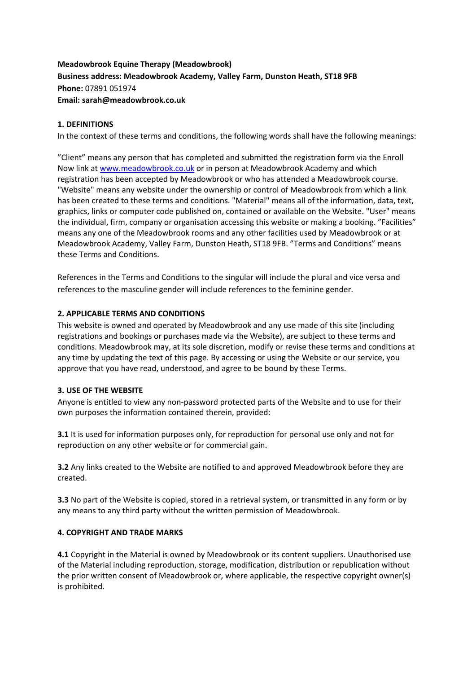# **Meadowbrook Equine Therapy (Meadowbrook) Business address: Meadowbrook Academy, Valley Farm, Dunston Heath, ST18 9FB Phone:** 07891 051974 **Email: sarah@meadowbrook.co.uk**

### **1. DEFINITIONS**

In the context of these terms and conditions, the following words shall have the following meanings:

"Client" means any person that has completed and submitted the registration form via the Enroll Now link at [www.meadowbrook.co.uk](http://www.meadowbrook.co.uk/) or in person at Meadowbrook Academy and which registration has been accepted by Meadowbrook or who has attended a Meadowbrook course. "Website" means any website under the ownership or control of Meadowbrook from which a link has been created to these terms and conditions. "Material" means all of the information, data, text, graphics, links or computer code published on, contained or available on the Website. "User" means the individual, firm, company or organisation accessing this website or making a booking. "Facilities" means any one of the Meadowbrook rooms and any other facilities used by Meadowbrook or at Meadowbrook Academy, Valley Farm, Dunston Heath, ST18 9FB. "Terms and Conditions" means these Terms and Conditions.

References in the Terms and Conditions to the singular will include the plural and vice versa and references to the masculine gender will include references to the feminine gender.

### **2. APPLICABLE TERMS AND CONDITIONS**

This website is owned and operated by Meadowbrook and any use made of this site (including registrations and bookings or purchases made via the Website), are subject to these terms and conditions. Meadowbrook may, at its sole discretion, modify or revise these terms and conditions at any time by updating the text of this page. By accessing or using the Website or our service, you approve that you have read, understood, and agree to be bound by these Terms.

#### **3. USE OF THE WEBSITE**

Anyone is entitled to view any non-password protected parts of the Website and to use for their own purposes the information contained therein, provided:

**3.1** It is used for information purposes only, for reproduction for personal use only and not for reproduction on any other website or for commercial gain.

**3.2** Any links created to the Website are notified to and approved Meadowbrook before they are created.

**3.3** No part of the Website is copied, stored in a retrieval system, or transmitted in any form or by any means to any third party without the written permission of Meadowbrook.

#### **4. COPYRIGHT AND TRADE MARKS**

**4.1** Copyright in the Material is owned by Meadowbrook or its content suppliers. Unauthorised use of the Material including reproduction, storage, modification, distribution or republication without the prior written consent of Meadowbrook or, where applicable, the respective copyright owner(s) is prohibited.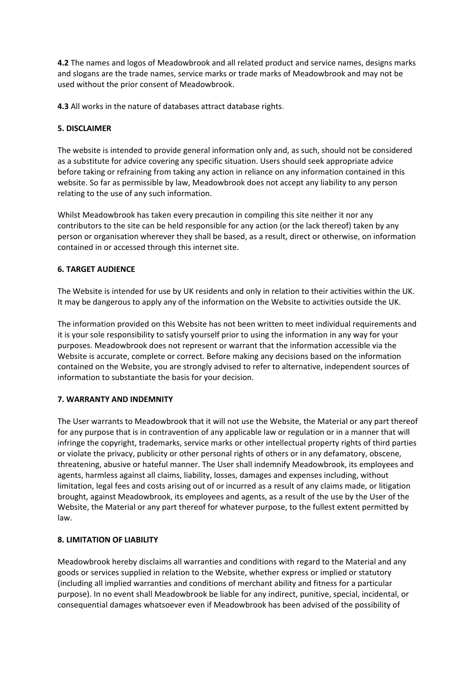**4.2** The names and logos of Meadowbrook and all related product and service names, designs marks and slogans are the trade names, service marks or trade marks of Meadowbrook and may not be used without the prior consent of Meadowbrook.

**4.3** All works in the nature of databases attract database rights.

# **5. DISCLAIMER**

The website is intended to provide general information only and, as such, should not be considered as a substitute for advice covering any specific situation. Users should seek appropriate advice before taking or refraining from taking any action in reliance on any information contained in this website. So far as permissible by law, Meadowbrook does not accept any liability to any person relating to the use of any such information.

Whilst Meadowbrook has taken every precaution in compiling this site neither it nor any contributors to the site can be held responsible for any action (or the lack thereof) taken by any person or organisation wherever they shall be based, as a result, direct or otherwise, on information contained in or accessed through this internet site.

# **6. TARGET AUDIENCE**

The Website is intended for use by UK residents and only in relation to their activities within the UK. It may be dangerous to apply any of the information on the Website to activities outside the UK.

The information provided on this Website has not been written to meet individual requirements and it is your sole responsibility to satisfy yourself prior to using the information in any way for your purposes. Meadowbrook does not represent or warrant that the information accessible via the Website is accurate, complete or correct. Before making any decisions based on the information contained on the Website, you are strongly advised to refer to alternative, independent sources of information to substantiate the basis for your decision.

## **7. WARRANTY AND INDEMNITY**

The User warrants to Meadowbrook that it will not use the Website, the Material or any part thereof for any purpose that is in contravention of any applicable law or regulation or in a manner that will infringe the copyright, trademarks, service marks or other intellectual property rights of third parties or violate the privacy, publicity or other personal rights of others or in any defamatory, obscene, threatening, abusive or hateful manner. The User shall indemnify Meadowbrook, its employees and agents, harmless against all claims, liability, losses, damages and expenses including, without limitation, legal fees and costs arising out of or incurred as a result of any claims made, or litigation brought, against Meadowbrook, its employees and agents, as a result of the use by the User of the Website, the Material or any part thereof for whatever purpose, to the fullest extent permitted by law.

## **8. LIMITATION OF LIABILITY**

Meadowbrook hereby disclaims all warranties and conditions with regard to the Material and any goods or services supplied in relation to the Website, whether express or implied or statutory (including all implied warranties and conditions of merchant ability and fitness for a particular purpose). In no event shall Meadowbrook be liable for any indirect, punitive, special, incidental, or consequential damages whatsoever even if Meadowbrook has been advised of the possibility of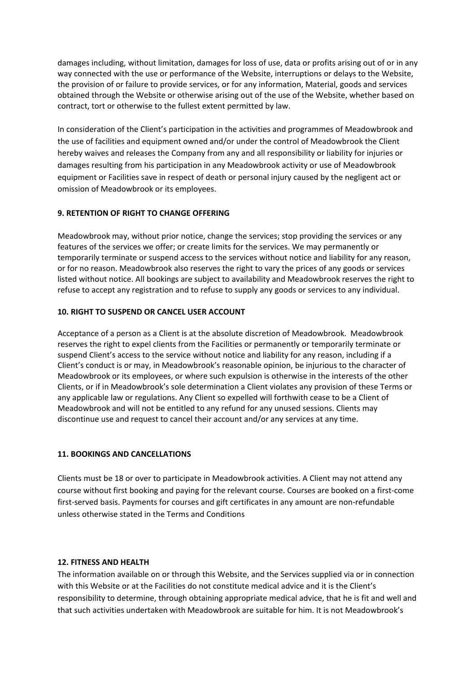damages including, without limitation, damages for loss of use, data or profits arising out of or in any way connected with the use or performance of the Website, interruptions or delays to the Website, the provision of or failure to provide services, or for any information, Material, goods and services obtained through the Website or otherwise arising out of the use of the Website, whether based on contract, tort or otherwise to the fullest extent permitted by law.

In consideration of the Client's participation in the activities and programmes of Meadowbrook and the use of facilities and equipment owned and/or under the control of Meadowbrook the Client hereby waives and releases the Company from any and all responsibility or liability for injuries or damages resulting from his participation in any Meadowbrook activity or use of Meadowbrook equipment or Facilities save in respect of death or personal injury caused by the negligent act or omission of Meadowbrook or its employees.

## **9. RETENTION OF RIGHT TO CHANGE OFFERING**

Meadowbrook may, without prior notice, change the services; stop providing the services or any features of the services we offer; or create limits for the services. We may permanently or temporarily terminate or suspend access to the services without notice and liability for any reason, or for no reason. Meadowbrook also reserves the right to vary the prices of any goods or services listed without notice. All bookings are subject to availability and Meadowbrook reserves the right to refuse to accept any registration and to refuse to supply any goods or services to any individual.

#### **10. RIGHT TO SUSPEND OR CANCEL USER ACCOUNT**

Acceptance of a person as a Client is at the absolute discretion of Meadowbrook. Meadowbrook reserves the right to expel clients from the Facilities or permanently or temporarily terminate or suspend Client's access to the service without notice and liability for any reason, including if a Client's conduct is or may, in Meadowbrook's reasonable opinion, be injurious to the character of Meadowbrook or its employees, or where such expulsion is otherwise in the interests of the other Clients, or if in Meadowbrook's sole determination a Client violates any provision of these Terms or any applicable law or regulations. Any Client so expelled will forthwith cease to be a Client of Meadowbrook and will not be entitled to any refund for any unused sessions. Clients may discontinue use and request to cancel their account and/or any services at any time.

## **11. BOOKINGS AND CANCELLATIONS**

Clients must be 18 or over to participate in Meadowbrook activities. A Client may not attend any course without first booking and paying for the relevant course. Courses are booked on a first-come first-served basis. Payments for courses and gift certificates in any amount are non-refundable unless otherwise stated in the Terms and Conditions

#### **12. FITNESS AND HEALTH**

The information available on or through this Website, and the Services supplied via or in connection with this Website or at the Facilities do not constitute medical advice and it is the Client's responsibility to determine, through obtaining appropriate medical advice, that he is fit and well and that such activities undertaken with Meadowbrook are suitable for him. It is not Meadowbrook's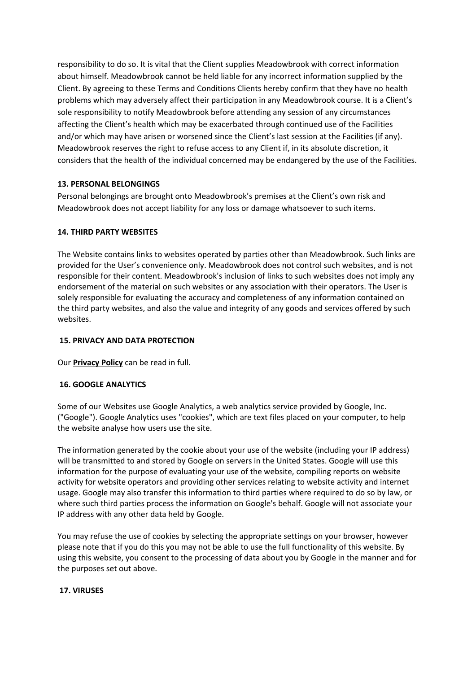responsibility to do so. It is vital that the Client supplies Meadowbrook with correct information about himself. Meadowbrook cannot be held liable for any incorrect information supplied by the Client. By agreeing to these Terms and Conditions Clients hereby confirm that they have no health problems which may adversely affect their participation in any Meadowbrook course. It is a Client's sole responsibility to notify Meadowbrook before attending any session of any circumstances affecting the Client's health which may be exacerbated through continued use of the Facilities and/or which may have arisen or worsened since the Client's last session at the Facilities (if any). Meadowbrook reserves the right to refuse access to any Client if, in its absolute discretion, it considers that the health of the individual concerned may be endangered by the use of the Facilities.

### **13. PERSONAL BELONGINGS**

Personal belongings are brought onto Meadowbrook's premises at the Client's own risk and Meadowbrook does not accept liability for any loss or damage whatsoever to such items.

### **14. THIRD PARTY WEBSITES**

The Website contains links to websites operated by parties other than Meadowbrook. Such links are provided for the User's convenience only. Meadowbrook does not control such websites, and is not responsible for their content. Meadowbrook's inclusion of links to such websites does not imply any endorsement of the material on such websites or any association with their operators. The User is solely responsible for evaluating the accuracy and completeness of any information contained on the third party websites, and also the value and integrity of any goods and services offered by such websites.

#### **15. PRIVACY AND DATA PROTECTION**

Our **[Privacy Policy](https://www.thedonnalouise.org/privacy-policy)** can be read in full.

## **16. GOOGLE ANALYTICS**

Some of our Websites use Google Analytics, a web analytics service provided by Google, Inc. ("Google"). Google Analytics uses "cookies", which are text files placed on your computer, to help the website analyse how users use the site.

The information generated by the cookie about your use of the website (including your IP address) will be transmitted to and stored by Google on servers in the United States. Google will use this information for the purpose of evaluating your use of the website, compiling reports on website activity for website operators and providing other services relating to website activity and internet usage. Google may also transfer this information to third parties where required to do so by law, or where such third parties process the information on Google's behalf. Google will not associate your IP address with any other data held by Google.

You may refuse the use of cookies by selecting the appropriate settings on your browser, however please note that if you do this you may not be able to use the full functionality of this website. By using this website, you consent to the processing of data about you by Google in the manner and for the purposes set out above.

#### **17. VIRUSES**